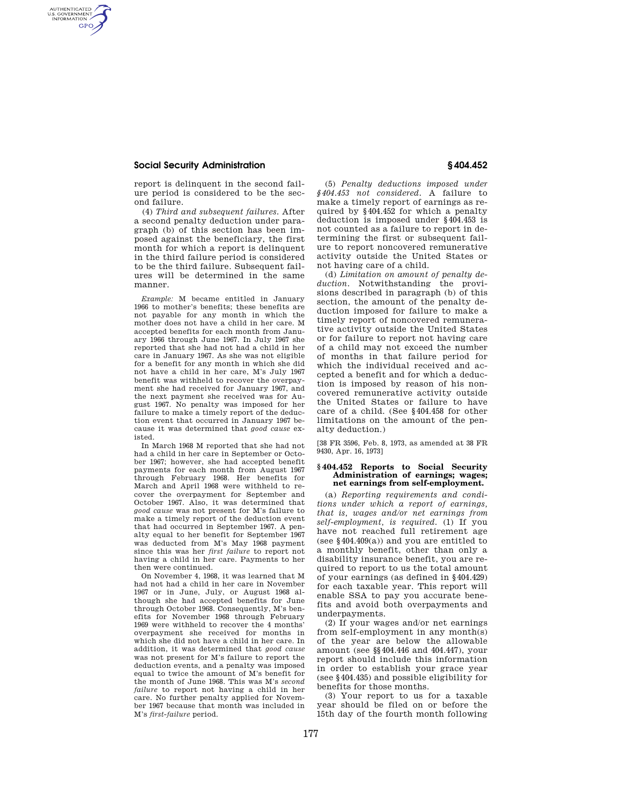## **Social Security Administration § 404.452**

AUTHENTICATED<br>U.S. GOVERNMENT<br>INFORMATION **GPO** 

> report is delinquent in the second failure period is considered to be the second failure.

> (4) *Third and subsequent failures.* After a second penalty deduction under paragraph (b) of this section has been imposed against the beneficiary, the first month for which a report is delinquent in the third failure period is considered to be the third failure. Subsequent failures will be determined in the same manner.

*Example:* M became entitled in January 1966 to mother's benefits; these benefits are not payable for any month in which the mother does not have a child in her care. M accepted benefits for each month from January 1966 through June 1967. In July 1967 she reported that she had not had a child in her care in January 1967. As she was not eligible for a benefit for any month in which she did not have a child in her care, M's July 1967 benefit was withheld to recover the overpayment she had received for January 1967, and the next payment she received was for August 1967. No penalty was imposed for her failure to make a timely report of the deduction event that occurred in January 1967 because it was determined that *good cause* existed.

In March 1968 M reported that she had not had a child in her care in September or October 1967; however, she had accepted benefit payments for each month from August 1967 through February 1968. Her benefits for March and April 1968 were withheld to recover the overpayment for September and October 1967. Also, it was determined that *good cause* was not present for M's failure to make a timely report of the deduction event that had occurred in September 1967. A penalty equal to her benefit for September 1967 was deducted from M's May 1968 payment since this was her *first failure* to report not having a child in her care. Payments to her then were continued.

On November 4, 1968, it was learned that M had not had a child in her care in November 1967 or in June, July, or August 1968 although she had accepted benefits for June through October 1968. Consequently, M's benefits for November 1968 through February 1969 were withheld to recover the 4 months' overpayment she received for months in which she did not have a child in her care. In addition, it was determined that *good cause*  was not present for M's failure to report the deduction events, and a penalty was imposed equal to twice the amount of M's benefit for the month of June 1968. This was M's *second failure* to report not having a child in her care. No further penalty applied for November 1967 because that month was included in M's *first-failure* period.

(5) *Penalty deductions imposed under §404.453 not considered.* A failure to make a timely report of earnings as required by §404.452 for which a penalty deduction is imposed under §404.453 is not counted as a failure to report in determining the first or subsequent failure to report noncovered remunerative activity outside the United States or not having care of a child.

(d) *Limitation on amount of penalty deduction.* Notwithstanding the provisions described in paragraph (b) of this section, the amount of the penalty deduction imposed for failure to make a timely report of noncovered remunerative activity outside the United States or for failure to report not having care of a child may not exceed the number of months in that failure period for which the individual received and accepted a benefit and for which a deduction is imposed by reason of his noncovered remunerative activity outside the United States or failure to have care of a child. (See §404.458 for other limitations on the amount of the penalty deduction.)

[38 FR 3596, Feb. 8, 1973, as amended at 38 FR 9430, Apr. 16, 1973]

## **§ 404.452 Reports to Social Security Administration of earnings; wages; net earnings from self-employment.**

(a) *Reporting requirements and conditions under which a report of earnings, that is, wages and/or net earnings from self-employment, is required.* (1) If you have not reached full retirement age (see §404.409(a)) and you are entitled to a monthly benefit, other than only a disability insurance benefit, you are required to report to us the total amount of your earnings (as defined in §404.429) for each taxable year. This report will enable SSA to pay you accurate benefits and avoid both overpayments and underpayments.

(2) If your wages and/or net earnings from self-employment in any month(s) of the year are below the allowable amount (see §§404.446 and 404.447), your report should include this information in order to establish your grace year (see §404.435) and possible eligibility for benefits for those months.

(3) Your report to us for a taxable year should be filed on or before the 15th day of the fourth month following